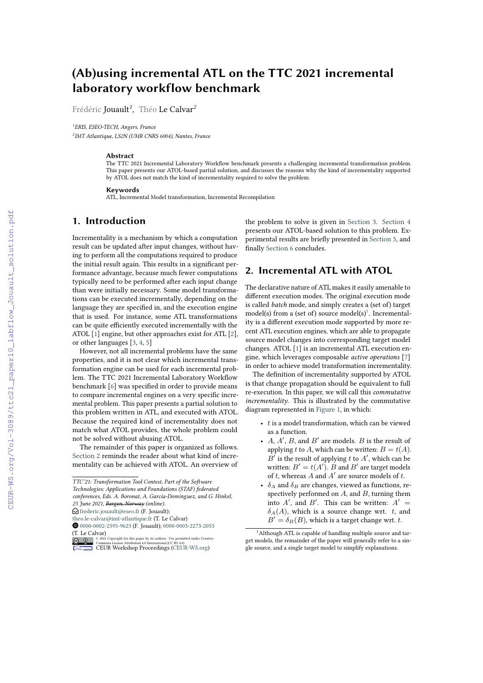# **(Ab)using incremental ATL on the TTC 2021 incremental laboratory workflow benchmark**

Frédéric Jouault*<sup>1</sup>* , Théo Le Calvar*<sup>2</sup>*

*<sup>1</sup>ERIS, ESEO-TECH, Angers, France*

*2 IMT Atlantique, LS2N (UMR CNRS 6004), Nantes, France*

#### **Abstract**

The TTC 2021 Incremental Laboratory Workflow benchmark presents a challenging incremental transformation problem. This paper presents our ATOL-based partial solution, and discusses the reasons why the kind of incrementality supported by ATOL does not match the kind of incrementality required to solve the problem.

#### **Keywords**

ATL, Incremental Model transformation, Incremental Recompilation

# **1. Introduction**

Incrementality is a mechanism by which a computation result can be updated after input changes, without having to perform all the computations required to produce the initial result again. This results in a significant performance advantage, because much fewer computations typically need to be performed after each input change than were initially necessary. Some model transformations can be executed incrementally, depending on the language they are specified in, and the execution engine that is used. For instance, some ATL transformations can be quite efficiently executed incrementally with the ATOL [\[1\]](#page--1-0) engine, but other approaches exist for ATL [\[2\]](#page--1-1), or other languages [\[3,](#page--1-2) [4,](#page--1-3) [5\]](#page--1-4)

However, not all incremental problems have the same properties, and it is not clear which incremental transformation engine can be used for each incremental problem. The TTC 2021 Incremental Laboratory Workflow benchmark [\[6\]](#page--1-5) was specified in order to provide means to compare incremental engines on a very specific incremental problem. This paper presents a partial solution to this problem written in ATL, and executed with ATOL. Because the required kind of incrementality does not match what ATOL provides, the whole problem could not be solved without abusing ATOL.

The remainder of this paper is organized as follows. [Section 2](#page-0-0) reminds the reader about what kind of incrementality can be achieved with ATOL. An overview of the problem to solve is given in [Section 3.](#page--1-6) [Section 4](#page--1-7) presents our ATOL-based solution to this problem. Experimental results are briefly presented in [Section 5,](#page--1-8) and finally [Section 6](#page--1-9) concludes.

# <span id="page-0-0"></span>**2. Incremental ATL with ATOL**

The declarative nature of ATL makes it easily amenable to different execution modes. The original execution mode is called *batch* mode, and simply creates a (set of) target  $model(s)$  from a (set of) source  $model(s)^{1}$  $model(s)^{1}$  $model(s)^{1}$ . Incrementality is a different execution mode supported by more recent ATL execution engines, which are able to propagate source model changes into corresponding target model changes. ATOL [\[1\]](#page--1-0) is an incremental ATL execution engine, which leverages composable *active operations* [\[7\]](#page--1-10) in order to achieve model transformation incrementality.

The definition of incrementality supported by ATOL is that change propagation should be equivalent to full re-execution. In this paper, we will call this *commutative incrementality*. This is illustrated by the commutative diagram represented in [Figure 1,](#page--1-11) in which:

- $\bullet$  t is a model transformation, which can be viewed as a function.
- $A, A', B$ , and  $B'$  are models.  $B$  is the result of applying t to A, which can be written:  $B = t(A)$ .  $B'$  is the result of applying t to  $A'$ , which can be written:  $B' = t(A')$ . B and B' are target models of  $t$ , whereas  $A$  and  $A'$  are source models of  $t$ .
- $\delta_A$  and  $\delta_B$  are changes, viewed as functions, respectively performed on  $A$ , and  $B$ , turning them into  $A'$ , and  $B'$ . This can be written:  $A' =$  $\delta_A(A)$ , which is a source change wrt. t, and  $B' = \delta_B(B)$ , which is a target change wrt. t.

*TTC'21: Transformation Tool Contest, Part of the Software*

*Technologies: Applications and Foundations (STAF) federated*

*conferences, Eds. A. Boronat, A. García-Domínguez, and G. Hinkel, 25 June 2021, Bergen, Norway (online).*

 $\bigcirc$  [frederic.jouault@eseo.fr](mailto:frederic.jouault@eseo.fr) (F. Jouault);

[theo.le-calvar@imt-atlantique.fr](mailto:theo.le-calvar@imt-atlantique.fr) (T. Le Calvar)

[0000-0002-2395-9623](https://orcid.org/0000-0002-2395-9623) (F. Jouault); [0000-0003-2273-2053](https://orcid.org/0000-0003-2273-2053) (T. Le Calvar)

**D** 2 2021 Commons License Attribution 4.0 line number Sepermitted under Creative Commons License Attribution 4.0 International (CC BY 4.0).<br> [CEUR](https://creativecommons.org/licenses/by/4.0) Workshop [Proceedings](http://ceur-ws.org) [\(CEUR-WS.org\)](http://ceur-ws.org)

<span id="page-0-1"></span><sup>&</sup>lt;sup>1</sup>Although ATL is capable of handling multiple source and target models, the remainder of the paper will generally refer to a single source, and a single target model to simplify explanations.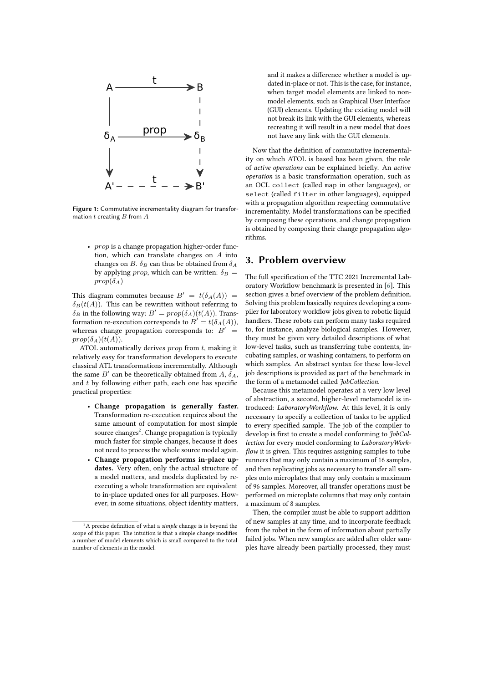

**Figure 1:** Commutative incrementality diagram for transformation  $t$  creating  ${\cal B}$  from  ${\cal A}$ 

•  $prop$  is a change propagation higher-order function, which can translate changes on  $A$  into changes on B.  $\delta_B$  can thus be obtained from  $\delta_A$ by applying *prop*, which can be written:  $\delta_B =$  $prop(\delta_A)$ 

This diagram commutes because  $B' = t(\delta_A(A)) =$  $\delta_B(t(A))$ . This can be rewritten without referring to  $\delta_B$  in the following way:  $B' = prop(\delta_A)(t(A))$ . Transformation re-execution corresponds to  $B' = t(\delta_A(A)),$ whereas change propagation corresponds to:  $B' =$  $prop(\delta_A)(t(A)).$ 

ATOL automatically derives  $prop$  from  $t$ , making it relatively easy for transformation developers to execute classical ATL transformations incrementally. Although the same  $B'$  can be theoretically obtained from A,  $\delta_A$ , and  $t$  by following either path, each one has specific practical properties:

- **Change propagation is generally faster.** Transformation re-execution requires about the same amount of computation for most simple source changes<sup>[2](#page-1-0)</sup>. Change propagation is typically much faster for simple changes, because it does not need to process the whole source model again.
- **Change propagation performs in-place updates.** Very often, only the actual structure of a model matters, and models duplicated by reexecuting a whole transformation are equivalent to in-place updated ones for all purposes. However, in some situations, object identity matters,

and it makes a difference whether a model is updated in-place or not. This is the case, for instance, when target model elements are linked to nonmodel elements, such as Graphical User Interface (GUI) elements. Updating the existing model will not break its link with the GUI elements, whereas recreating it will result in a new model that does not have any link with the GUI elements.

Now that the definition of commutative incrementality on which ATOL is based has been given, the role of *active operations* can be explained briefly. An *active operation* is a basic transformation operation, such as an OCL collect (called map in other languages), or select (called filter in other languages), equipped with a propagation algorithm respecting commutative incrementality. Model transformations can be specified by composing these operations, and change propagation is obtained by composing their change propagation algorithms.

### **3. Problem overview**

The full specification of the TTC 2021 Incremental Laboratory Workflow benchmark is presented in [\[6\]](#page-4-0). This section gives a brief overview of the problem definition. Solving this problem basically requires developing a compiler for laboratory workflow jobs given to robotic liquid handlers. These robots can perform many tasks required to, for instance, analyze biological samples. However, they must be given very detailed descriptions of what low-level tasks, such as transferring tube contents, incubating samples, or washing containers, to perform on which samples. An abstract syntax for these low-level job descriptions is provided as part of the benchmark in the form of a metamodel called *JobCollection*.

Because this metamodel operates at a very low level of abstraction, a second, higher-level metamodel is introduced: *LaboratoryWorkflow*. At this level, it is only necessary to specify a collection of tasks to be applied to every specified sample. The job of the compiler to develop is first to create a model conforming to *JobCollection* for every model conforming to *LaboratoryWorkflow* it is given. This requires assigning samples to tube runners that may only contain a maximum of 16 samples, and then replicating jobs as necessary to transfer all samples onto microplates that may only contain a maximum of 96 samples. Moreover, all transfer operations must be performed on microplate columns that may only contain a maximum of 8 samples.

Then, the compiler must be able to support addition of new samples at any time, and to incorporate feedback from the robot in the form of information about partially failed jobs. When new samples are added after older samples have already been partially processed, they must

<span id="page-1-0"></span><sup>2</sup>A precise definition of what a *simple* change is is beyond the scope of this paper. The intuition is that a simple change modifies a number of model elements which is small compared to the total number of elements in the model.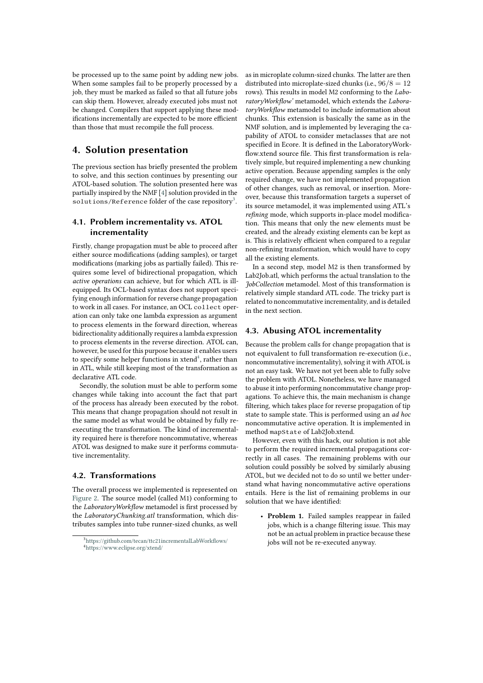be processed up to the same point by adding new jobs. When some samples fail to be properly processed by a job, they must be marked as failed so that all future jobs can skip them. However, already executed jobs must not be changed. Compilers that support applying these modifications incrementally are expected to be more efficient than those that must recompile the full process.

## **4. Solution presentation**

The previous section has briefly presented the problem to solve, and this section continues by presenting our ATOL-based solution. The solution presented here was partially inspired by the NMF [\[4\]](#page-4-1) solution provided in the solutions/Reference folder of the case repository<sup>[3](#page-2-0)</sup>.

#### **4.1. Problem incrementality vs. ATOL incrementality**

Firstly, change propagation must be able to proceed after either source modifications (adding samples), or target modifications (marking jobs as partially failed). This requires some level of bidirectional propagation, which *active operations* can achieve, but for which ATL is illequipped. Its OCL-based syntax does not support specifying enough information for reverse change propagation to work in all cases. For instance, an OCL collect operation can only take one lambda expression as argument to process elements in the forward direction, whereas bidirectionality additionally requires a lambda expression to process elements in the reverse direction. ATOL can, however, be used for this purpose because it enables users to specify some helper functions in xtend<sup>[4](#page-2-1)</sup>, rather than in ATL, while still keeping most of the transformation as declarative ATL code.

Secondly, the solution must be able to perform some changes while taking into account the fact that part of the process has already been executed by the robot. This means that change propagation should not result in the same model as what would be obtained by fully reexecuting the transformation. The kind of incrementality required here is therefore noncommutative, whereas ATOL was designed to make sure it performs commutative incrementality.

#### **4.2. Transformations**

The overall process we implemented is represented on [Figure 2.](#page-3-0) The source model (called M1) conforming to the *LaboratoryWorkflow* metamodel is first processed by the *LaboratoryChunking.atl* transformation, which distributes samples into tube runner-sized chunks, as well as in microplate column-sized chunks. The latter are then distributed into microplate-sized chunks (i.e.,  $96/8 = 12$ rows). This results in model M2 conforming to the *LaboratoryWorkflow'* metamodel, which extends the *LaboratoryWorkflow* metamodel to include information about chunks. This extension is basically the same as in the NMF solution, and is implemented by leveraging the capability of ATOL to consider metaclasses that are not specified in Ecore. It is defined in the LaboratoryWorkflow.xtend source file. This first transformation is relatively simple, but required implementing a new chunking active operation. Because appending samples is the only required change, we have not implemented propagation of other changes, such as removal, or insertion. Moreover, because this transformation targets a superset of its source metamodel, it was implemented using ATL's *refining* mode, which supports in-place model modification. This means that only the new elements must be created, and the already existing elements can be kept as is. This is relatively efficient when compared to a regular non-refining transformation, which would have to copy all the existing elements.

In a second step, model M2 is then transformed by Lab2Job.atl, which performs the actual translation to the *JobCollection* metamodel. Most of this transformation is relatively simple standard ATL code. The tricky part is related to noncommutative incrementality, and is detailed in the next section.

#### **4.3. Abusing ATOL incrementality**

Because the problem calls for change propagation that is not equivalent to full transformation re-execution (i.e., noncommutative incrementality), solving it with ATOL is not an easy task. We have not yet been able to fully solve the problem with ATOL. Nonetheless, we have managed to abuse it into performing noncommutative change propagations. To achieve this, the main mechanism is change filtering, which takes place for reverse propagation of tip state to sample state. This is performed using an *ad hoc* noncommutative active operation. It is implemented in method mapState of Lab2Job.xtend.

However, even with this hack, our solution is not able to perform the required incremental propagations correctly in all cases. The remaining problems with our solution could possibly be solved by similarly abusing ATOL, but we decided not to do so until we better understand what having noncommutative active operations entails. Here is the list of remaining problems in our solution that we have identified:

• **Problem 1.** Failed samples reappear in failed jobs, which is a change filtering issue. This may not be an actual problem in practice because these jobs will not be re-executed anyway.

<span id="page-2-1"></span><span id="page-2-0"></span><sup>3</sup><https://github.com/tecan/ttc21incrementalLabWorkflows/> <sup>4</sup><https://www.eclipse.org/xtend/>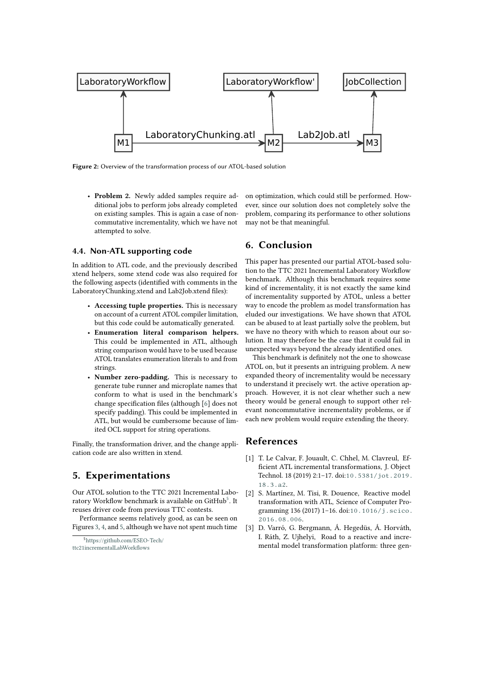<span id="page-3-0"></span>

**Figure 2:** Overview of the transformation process of our ATOL-based solution

• **Problem 2.** Newly added samples require additional jobs to perform jobs already completed on existing samples. This is again a case of noncommutative incrementality, which we have not attempted to solve.

#### **4.4. Non-ATL supporting code**

In addition to ATL code, and the previously described xtend helpers, some xtend code was also required for the following aspects (identified with comments in the LaboratoryChunking.xtend and Lab2Job.xtend files):

- **Accessing tuple properties.** This is necessary on account of a current ATOL compiler limitation, but this code could be automatically generated.
- **Enumeration literal comparison helpers.** This could be implemented in ATL, although string comparison would have to be used because ATOL translates enumeration literals to and from strings.
- **Number zero-padding.** This is necessary to generate tube runner and microplate names that conform to what is used in the benchmark's change specification files (although [\[6\]](#page-4-0) does not specify padding). This could be implemented in ATL, but would be cumbersome because of limited OCL support for string operations.

Finally, the transformation driver, and the change application code are also written in xtend.

## **5. Experimentations**

Our ATOL solution to the TTC 2021 Incremental Labo-ratory Workflow benchmark is available on GitHub<sup>[5](#page-3-1)</sup>. It reuses driver code from previous TTC contests.

Performance seems relatively good, as can be seen on Figures [3,](#page-4-2) [4,](#page-5-0) and [5,](#page-5-1) although we have not spent much time on optimization, which could still be performed. However, since our solution does not completely solve the problem, comparing its performance to other solutions may not be that meaningful.

# **6. Conclusion**

This paper has presented our partial ATOL-based solution to the TTC 2021 Incremental Laboratory Workflow benchmark. Although this benchmark requires some kind of incrementality, it is not exactly the same kind of incrementality supported by ATOL, unless a better way to encode the problem as model transformation has eluded our investigations. We have shown that ATOL can be abused to at least partially solve the problem, but we have no theory with which to reason about our solution. It may therefore be the case that it could fail in unexpected ways beyond the already identified ones.

This benchmark is definitely not the one to showcase ATOL on, but it presents an intriguing problem. A new expanded theory of incrementality would be necessary to understand it precisely wrt. the active operation approach. However, it is not clear whether such a new theory would be general enough to support other relevant noncommutative incrementality problems, or if each new problem would require extending the theory.

## **References**

- [1] T. Le Calvar, F. Jouault, C. Chhel, M. Clavreul, Efficient ATL incremental transformations, J. Object Technol. 18 (2019) 2:1–17. doi:[10.5381/jot.2019.](http://dx.doi.org/10.5381/jot.2019.18.3.a2) [18.3.a2](http://dx.doi.org/10.5381/jot.2019.18.3.a2).
- [2] S. Martínez, M. Tisi, R. Douence, Reactive model transformation with ATL, Science of Computer Programming 136 (2017) 1-16. doi:10.1016/j. scico. [2016.08.006](http://dx.doi.org/10.1016/j.scico.2016.08.006).
- [3] D. Varró, G. Bergmann, Á. Hegedüs, Á. Horváth, I. Ráth, Z. Ujhelyi, Road to a reactive and incremental model transformation platform: three gen-

<span id="page-3-1"></span><sup>5</sup>[https://github.com/ESEO-Tech/](https://github.com/ESEO-Tech/ttc21incrementalLabWorkflows) [ttc21incrementalLabWorkflows](https://github.com/ESEO-Tech/ttc21incrementalLabWorkflows)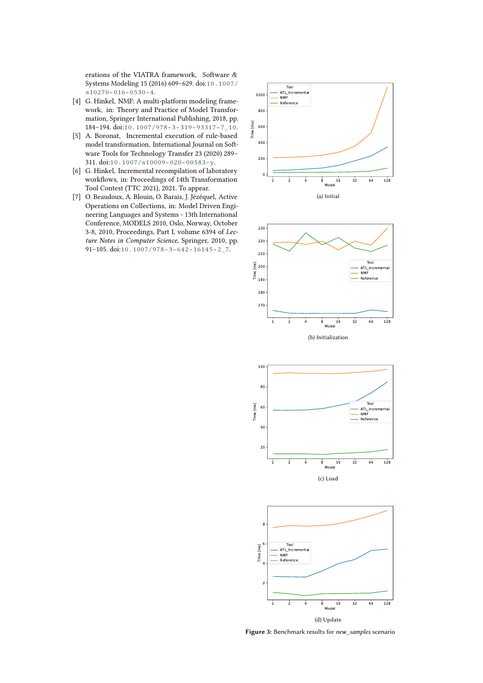erations of the VIATRA framework, Software & Systems Modeling 15 (2016) 609–629. doi:[10.1007/](http://dx.doi.org/10.1007/s10270-016-0530-4) [s10270-016-0530-4](http://dx.doi.org/10.1007/s10270-016-0530-4).

- <span id="page-4-1"></span>[4] G. Hinkel, NMF: A multi-platform modeling framework, in: Theory and Practice of Model Transformation, Springer International Publishing, 2018, pp. 184–194. doi:[10.1007/978-3-319-93317-7\\_10](http://dx.doi.org/10.1007/978-3-319-93317-7_10).
- [5] A. Boronat, Incremental execution of rule-based model transformation, International Journal on Software Tools for Technology Transfer 23 (2020) 289– 311. doi:[10.1007/s10009-020-00583-y](http://dx.doi.org/10.1007/s10009-020-00583-y).
- <span id="page-4-0"></span>[6] G. Hinkel, Incremental recompilation of laboratory workflows, in: Proceedings of 14th Transformation Tool Contest (TTC 2021), 2021. To appear.
- [7] O. Beaudoux, A. Blouin, O. Barais, J. Jézéquel, Active Operations on Collections, in: Model Driven Engineering Languages and Systems - 13th International Conference, MODELS 2010, Oslo, Norway, October 3-8, 2010, Proceedings, Part I, volume 6394 of *Lecture Notes in Computer Science*, Springer, 2010, pp. 91–105. doi:[10.1007/978-3-642-16145-2\\_7](http://dx.doi.org/10.1007/978-3-642-16145-2_7).

<span id="page-4-2"></span>









**Figure 3:** Benchmark results for *new\_samples* scenario